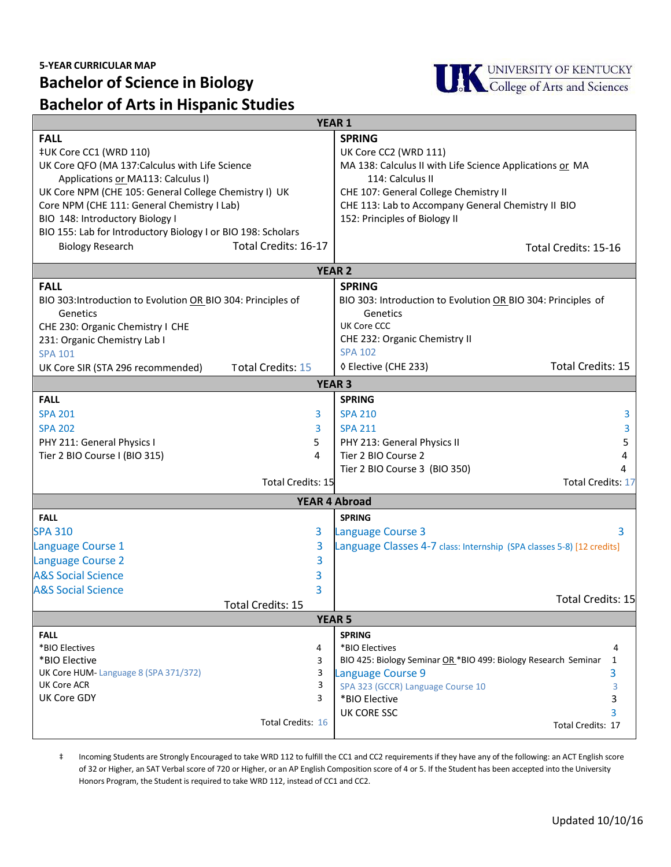## **Bachelor of Science in Biology Bachelor of Arts in Hispanic Studies**



| <b>YEAR 1</b>                                                |                                                                       |  |
|--------------------------------------------------------------|-----------------------------------------------------------------------|--|
| <b>FALL</b>                                                  | <b>SPRING</b>                                                         |  |
| ‡UK Core CC1 (WRD 110)                                       | UK Core CC2 (WRD 111)                                                 |  |
| UK Core QFO (MA 137: Calculus with Life Science              | MA 138: Calculus II with Life Science Applications or MA              |  |
| Applications or MA113: Calculus I)                           | 114: Calculus II                                                      |  |
| UK Core NPM (CHE 105: General College Chemistry I) UK        | CHE 107: General College Chemistry II                                 |  |
| Core NPM (CHE 111: General Chemistry I Lab)                  | CHE 113: Lab to Accompany General Chemistry II BIO                    |  |
| BIO 148: Introductory Biology I                              | 152: Principles of Biology II                                         |  |
| BIO 155: Lab for Introductory Biology I or BIO 198: Scholars |                                                                       |  |
| Total Credits: 16-17<br><b>Biology Research</b>              | Total Credits: 15-16                                                  |  |
|                                                              |                                                                       |  |
| <b>YEAR 2</b>                                                |                                                                       |  |
| <b>FALL</b>                                                  | <b>SPRING</b>                                                         |  |
| BIO 303: Introduction to Evolution OR BIO 304: Principles of | BIO 303: Introduction to Evolution OR BIO 304: Principles of          |  |
| Genetics                                                     | Genetics                                                              |  |
| CHE 230: Organic Chemistry I CHE                             | <b>UK Core CCC</b>                                                    |  |
| 231: Organic Chemistry Lab I                                 | CHE 232: Organic Chemistry II                                         |  |
| <b>SPA 101</b>                                               | <b>SPA 102</b>                                                        |  |
| Total Credits: 15<br>UK Core SIR (STA 296 recommended)       | <b>Total Credits: 15</b><br>◊ Elective (CHE 233)                      |  |
| <b>YEAR 3</b>                                                |                                                                       |  |
| <b>FALL</b>                                                  | <b>SPRING</b>                                                         |  |
| <b>SPA 201</b><br>3                                          | <b>SPA 210</b><br>3                                                   |  |
| <b>SPA 202</b><br>3                                          | <b>SPA 211</b><br>3                                                   |  |
| PHY 211: General Physics I<br>5                              | PHY 213: General Physics II<br>5                                      |  |
| Tier 2 BIO Course I (BIO 315)<br>4                           | Tier 2 BIO Course 2<br>4                                              |  |
|                                                              | Tier 2 BIO Course 3 (BIO 350)                                         |  |
| Total Credits: 15                                            | <b>Total Credits: 17</b>                                              |  |
| <b>YEAR 4 Abroad</b>                                         |                                                                       |  |
| <b>FALL</b>                                                  | <b>SPRING</b>                                                         |  |
| <b>SPA 310</b><br>3                                          | <b>Language Course 3</b><br>3                                         |  |
| 3<br>Language Course 1                                       | Language Classes 4-7 class: Internship (SPA classes 5-8) [12 credits] |  |
| 3<br><b>Language Course 2</b>                                |                                                                       |  |
| <b>A&amp;S Social Science</b><br>3                           |                                                                       |  |
| <b>A&amp;S Social Science</b><br>3                           |                                                                       |  |
|                                                              | Total Credits: 15                                                     |  |
| Total Credits: 15<br><b>YEAR 5</b>                           |                                                                       |  |
| <b>FALL</b>                                                  | <b>SPRING</b>                                                         |  |
| *BIO Electives<br>4                                          | *BIO Electives<br>4                                                   |  |
| *BIO Elective<br>3                                           | BIO 425: Biology Seminar OR *BIO 499: Biology Research Seminar<br>1   |  |
| UK Core HUM-Language 8 (SPA 371/372)<br>3                    | 3<br>Language Course 9                                                |  |
| 3<br><b>UK Core ACR</b>                                      | SPA 323 (GCCR) Language Course 10<br>3                                |  |
| <b>UK Core GDY</b><br>3                                      | 3<br>*BIO Elective                                                    |  |
|                                                              | 3<br>UK CORE SSC                                                      |  |
| Total Credits: 16                                            | Total Credits: 17                                                     |  |
|                                                              |                                                                       |  |

 Total Credits: 15-17 ‡ Incoming Students are Strongly Encouraged to take WRD 112 to fulfill the CC1 and CC2 requirements if they have any of the following: an ACT English score Honors Program, the Student is required to take WRD 112, instead of CC1 and CC2. of 32 or Higher, an SAT Verbal score of 720 or Higher, or an AP English Composition score of 4 or 5. If the Student has been accepted into the University